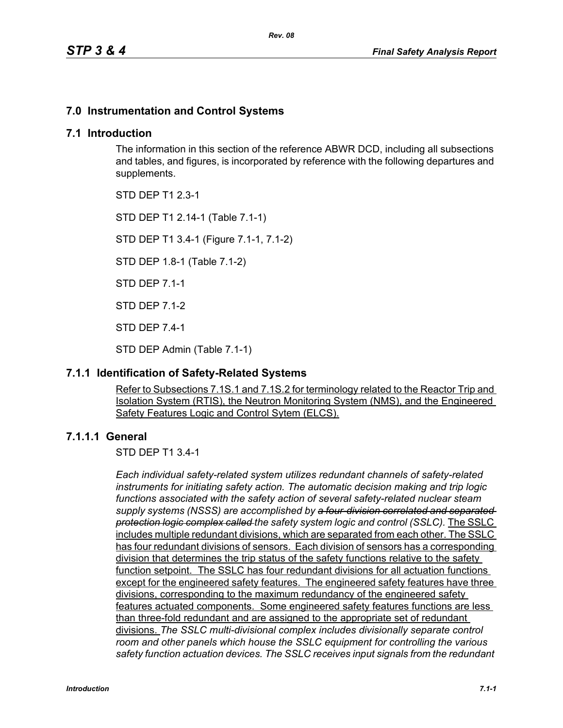# **7.0 Instrumentation and Control Systems**

# **7.1 Introduction**

The information in this section of the reference ABWR DCD, including all subsections and tables, and figures, is incorporated by reference with the following departures and supplements.

STD DEP T1 2.3-1

STD DEP T1 2.14-1 (Table 7.1-1)

STD DEP T1 3.4-1 (Figure 7.1-1, 7.1-2)

STD DEP 1.8-1 (Table 7.1-2)

STD DEP 7.1-1

STD DEP 7.1-2

STD DEP 7.4-1

STD DEP Admin (Table 7.1-1)

# **7.1.1 Identification of Safety-Related Systems**

Refer to Subsections 7.1S.1 and 7.1S.2 for terminology related to the Reactor Trip and Isolation System (RTIS), the Neutron Monitoring System (NMS), and the Engineered Safety Features Logic and Control Sytem (ELCS).

# **7.1.1.1 General**

STD DEP T1 3.4-1

*Each individual safety-related system utilizes redundant channels of safety-related instruments for initiating safety action. The automatic decision making and trip logic functions associated with the safety action of several safety-related nuclear steam supply systems (NSSS) are accomplished by a four-division correlated and separated protection logic complex called the safety system logic and control (SSLC).* The SSLC includes multiple redundant divisions, which are separated from each other. The SSLC has four redundant divisions of sensors. Each division of sensors has a corresponding division that determines the trip status of the safety functions relative to the safety function setpoint. The SSLC has four redundant divisions for all actuation functions except for the engineered safety features. The engineered safety features have three divisions, corresponding to the maximum redundancy of the engineered safety features actuated components. Some engineered safety features functions are less than three-fold redundant and are assigned to the appropriate set of redundant divisions. *The SSLC multi-divisional complex includes divisionally separate control room and other panels which house the SSLC equipment for controlling the various safety function actuation devices. The SSLC receives input signals from the redundant*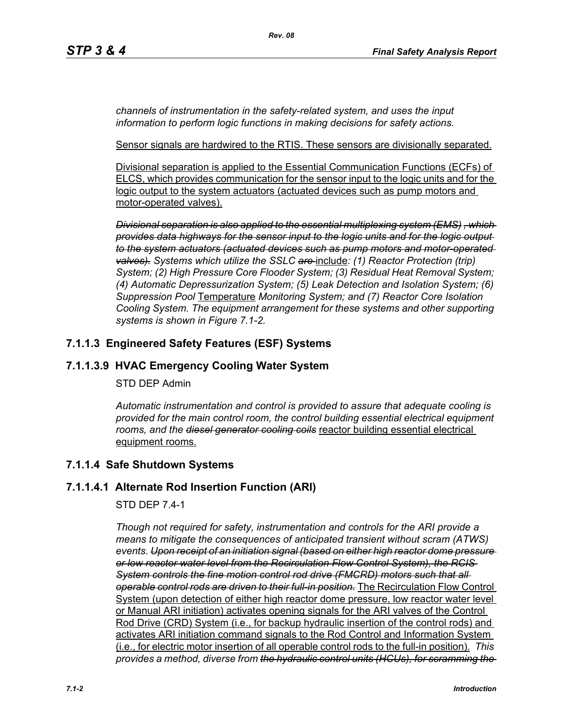*channels of instrumentation in the safety-related system, and uses the input information to perform logic functions in making decisions for safety actions.*

Sensor signals are hardwired to the RTIS. These sensors are divisionally separated.

Divisional separation is applied to the Essential Communication Functions (ECFs) of ELCS, which provides communication for the sensor input to the logic units and for the logic output to the system actuators (actuated devices such as pump motors and motor-operated valves).

*Divisional separation is also applied to the essential multiplexing system (EMS) , which provides data highways for the sensor input to the logic units and for the logic output to the system actuators (actuated devices such as pump motors and motor-operated valves). Systems which utilize the SSLC are* include*: (1) Reactor Protection (trip) System; (2) High Pressure Core Flooder System; (3) Residual Heat Removal System; (4) Automatic Depressurization System; (5) Leak Detection and Isolation System; (6) Suppression Pool* Temperature *Monitoring System; and (7) Reactor Core Isolation Cooling System. The equipment arrangement for these systems and other supporting systems is shown in Figure 7.1-2.*

# **7.1.1.3 Engineered Safety Features (ESF) Systems**

# **7.1.1.3.9 HVAC Emergency Cooling Water System**

#### STD DEP Admin

*Automatic instrumentation and control is provided to assure that adequate cooling is provided for the main control room, the control building essential electrical equipment rooms, and the diesel generator cooling coils* reactor building essential electrical equipment rooms.

# **7.1.1.4 Safe Shutdown Systems**

# **7.1.1.4.1 Alternate Rod Insertion Function (ARI)**

# STD DEP 7.4-1

*Though not required for safety, instrumentation and controls for the ARI provide a means to mitigate the consequences of anticipated transient without scram (ATWS) events. Upon receipt of an initiation signal (based on either high reactor dome pressure or low reactor water level from the Recirculation Flow Control System), the RCIS System controls the fine motion control rod drive (FMCRD) motors such that all operable control rods are driven to their full-in position.* The Recirculation Flow Control System (upon detection of either high reactor dome pressure, low reactor water level or Manual ARI initiation) activates opening signals for the ARI valves of the Control Rod Drive (CRD) System (i.e., for backup hydraulic insertion of the control rods) and activates ARI initiation command signals to the Rod Control and Information System (i.e., for electric motor insertion of all operable control rods to the full-in position). *This provides a method, diverse from the hydraulic control units (HCUs), for scramming the*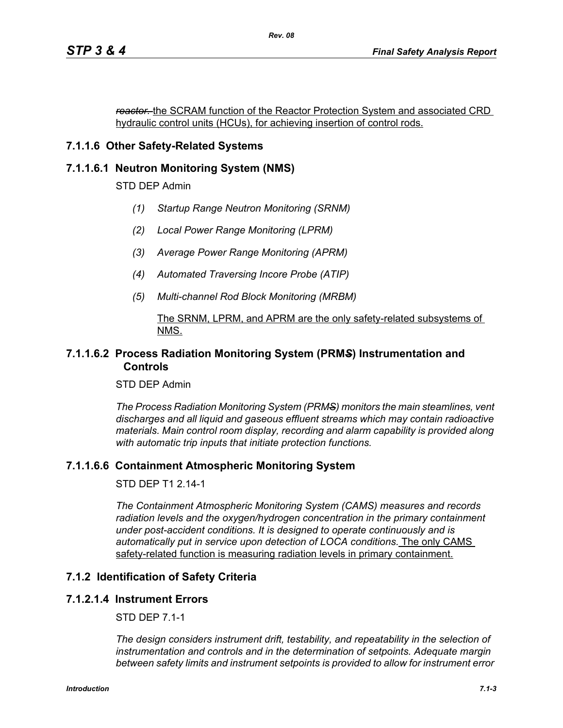*reactor.* the SCRAM function of the Reactor Protection System and associated CRD hydraulic control units (HCUs), for achieving insertion of control rods.

# **7.1.1.6 Other Safety-Related Systems**

# **7.1.1.6.1 Neutron Monitoring System (NMS)**

STD DEP Admin

- *(1) Startup Range Neutron Monitoring (SRNM)*
- *(2) Local Power Range Monitoring (LPRM)*
- *(3) Average Power Range Monitoring (APRM)*
- *(4) Automated Traversing Incore Probe (ATIP)*
- *(5) Multi-channel Rod Block Monitoring (MRBM)*

#### The SRNM, LPRM, and APRM are the only safety-related subsystems of NMS.

#### **7.1.1.6.2 Process Radiation Monitoring System (PRM***S***) Instrumentation and Controls**

STD DEP Admin

*The Process Radiation Monitoring System (PRMS) monitors the main steamlines, vent discharges and all liquid and gaseous effluent streams which may contain radioactive materials. Main control room display, recording and alarm capability is provided along with automatic trip inputs that initiate protection functions.*

# **7.1.1.6.6 Containment Atmospheric Monitoring System**

STD DEP T1 2.14-1

*The Containment Atmospheric Monitoring System (CAMS) measures and records*  radiation levels and the oxygen/hydrogen concentration in the primary containment *under post-accident conditions. It is designed to operate continuously and is automatically put in service upon detection of LOCA conditions.* The only CAMS safety-related function is measuring radiation levels in primary containment.

# **7.1.2 Identification of Safety Criteria**

#### **7.1.2.1.4 Instrument Errors**

STD DEP 7.1-1

*The design considers instrument drift, testability, and repeatability in the selection of instrumentation and controls and in the determination of setpoints. Adequate margin between safety limits and instrument setpoints is provided to allow for instrument error*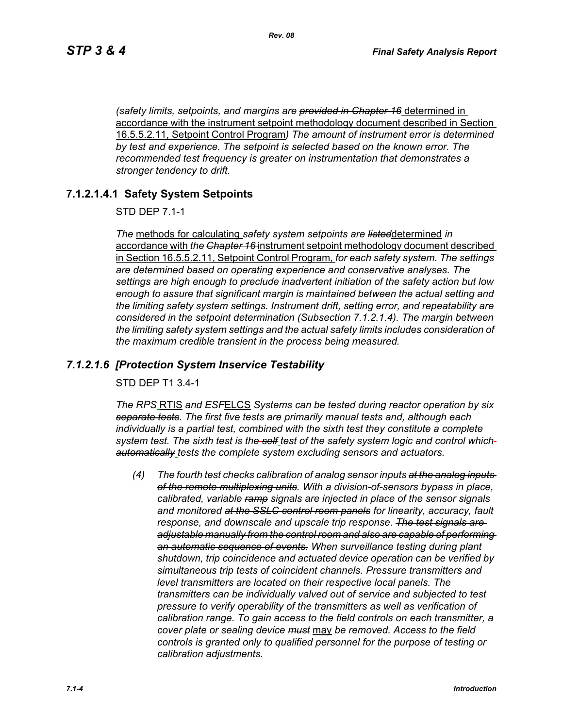*(safety limits, setpoints, and margins are provided in Chapter 16* determined in accordance with the instrument setpoint methodology document described in Section 16.5.5.2.11, Setpoint Control Program*) The amount of instrument error is determined by test and experience. The setpoint is selected based on the known error. The recommended test frequency is greater on instrumentation that demonstrates a stronger tendency to drift.*

#### **7.1.2.1.4.1 Safety System Setpoints**

STD DEP 7.1-1

*The* methods for calculating *safety system setpoints are listed*determined *in*  accordance with *the Chapter 16* instrument setpoint methodology document described in Section 16.5.5.2.11, Setpoint Control Program, *for each safety system. The settings are determined based on operating experience and conservative analyses. The settings are high enough to preclude inadvertent initiation of the safety action but low enough to assure that significant margin is maintained between the actual setting and the limiting safety system settings. Instrument drift, setting error, and repeatability are considered in the setpoint determination (Subsection 7.1.2.1.4). The margin between the limiting safety system settings and the actual safety limits includes consideration of the maximum credible transient in the process being measured.*

#### *7.1.2.1.6 [Protection System Inservice Testability*

STD DEP T1 3.4-1

*The RPS* RTIS *and ESF*ELCS *Systems can be tested during reactor operation by six separate tests. The first five tests are primarily manual tests and, although each individually is a partial test, combined with the sixth test they constitute a complete system test. The sixth test is the self test of the safety system logic and control which automatically tests the complete system excluding sensors and actuators.*

*(4) The fourth test checks calibration of analog sensor inputs at the analog inputs of the remote multiplexing units. With a division-of-sensors bypass in place, calibrated, variable ramp signals are injected in place of the sensor signals and monitored at the SSLC control room panels for linearity, accuracy, fault response, and downscale and upscale trip response. The test signals are adjustable manually from the control room and also are capable of performing an automatic sequence of events. When surveillance testing during plant shutdown, trip coincidence and actuated device operation can be verified by simultaneous trip tests of coincident channels. Pressure transmitters and level transmitters are located on their respective local panels. The transmitters can be individually valved out of service and subjected to test pressure to verify operability of the transmitters as well as verification of calibration range. To gain access to the field controls on each transmitter, a cover plate or sealing device must* may *be removed. Access to the field controls is granted only to qualified personnel for the purpose of testing or calibration adjustments.*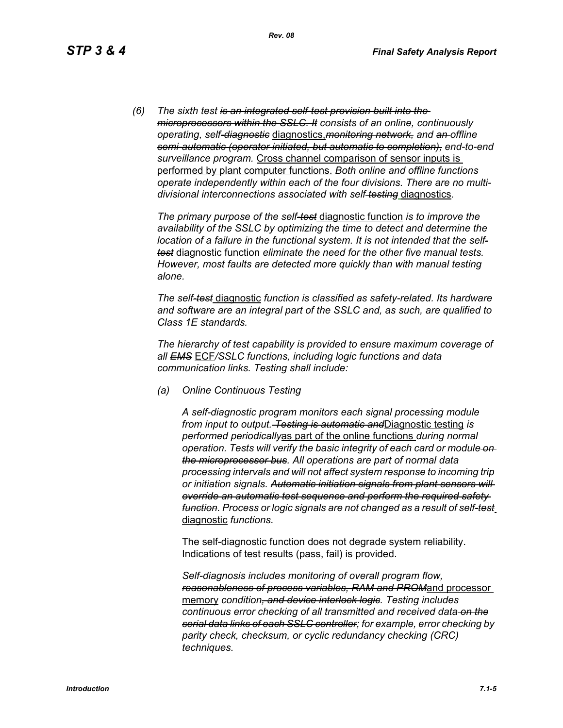*(6) The sixth test is an integrated self-test provision built into the microprocessors within the SSLC. It consists of an online, continuously operating, self-diagnostic* diagnostics,*monitoring network, and an offline semi-automatic (operator initiated, but automatic to completion), end-to-end surveillance program.* Cross channel comparison of sensor inputs is performed by plant computer functions. *Both online and offline functions operate independently within each of the four divisions. There are no multidivisional interconnections associated with self testing* diagnostics*.*

*The primary purpose of the self-test* diagnostic function *is to improve the availability of the SSLC by optimizing the time to detect and determine the location of a failure in the functional system. It is not intended that the selftest* diagnostic function *eliminate the need for the other five manual tests. However, most faults are detected more quickly than with manual testing alone.*

*The self-test* diagnostic *function is classified as safety-related. Its hardware and software are an integral part of the SSLC and, as such, are qualified to Class 1E standards.*

*The hierarchy of test capability is provided to ensure maximum coverage of all EMS* ECF*/SSLC functions, including logic functions and data communication links. Testing shall include:*

*(a) Online Continuous Testing*

*A self-diagnostic program monitors each signal processing module from input to output. Testing is automatic and*Diagnostic testing *is performed periodically*as part of the online functions *during normal operation. Tests will verify the basic integrity of each card or module on the microprocessor bus. All operations are part of normal data processing intervals and will not affect system response to incoming trip or initiation signals. Automatic initiation signals from plant sensors will override an automatic test sequence and perform the required safety function. Process or logic signals are not changed as a result of self-test* diagnostic *functions.*

The self-diagnostic function does not degrade system reliability. Indications of test results (pass, fail) is provided.

*Self-diagnosis includes monitoring of overall program flow, reasonableness of process variables, RAM and PROM*and processor memory *condition, and device interlock logic. Testing includes continuous error checking of all transmitted and received data on the serial data links of each SSLC controller; for example, error checking by parity check, checksum, or cyclic redundancy checking (CRC) techniques.*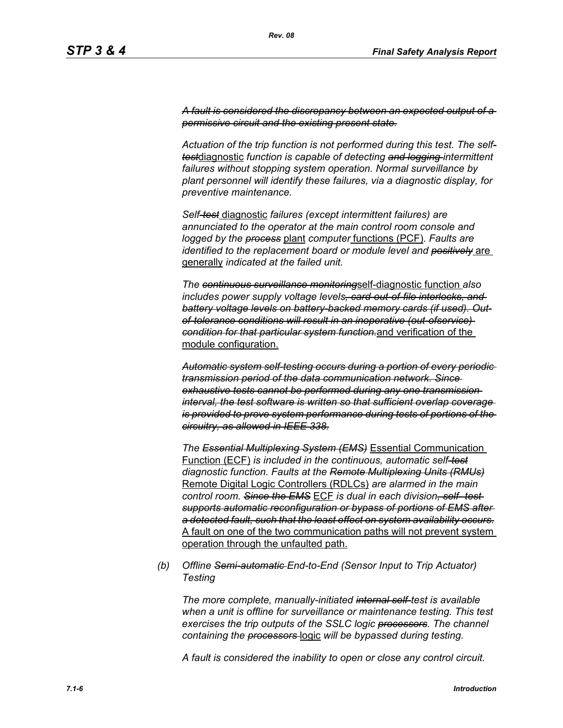*A fault is considered the discrepancy between an expected output of a permissive circuit and the existing present state.*

*Actuation of the trip function is not performed during this test. The selftest*diagnostic *function is capable of detecting and logging intermittent failures without stopping system operation. Normal surveillance by plant personnel will identify these failures, via a diagnostic display, for preventive maintenance.*

*Self-test* diagnostic *failures (except intermittent failures) are annunciated to the operator at the main control room console and logged by the process* plant *computer* functions (PCF)*. Faults are identified to the replacement board or module level and positively* are generally *indicated at the failed unit.*

*The continuous surveillance monitoring*self-diagnostic function *also includes power supply voltage levels, card-out-of-file interlocks, and battery voltage levels on battery-backed memory cards (if used). Outof-tolerance conditions will result in an inoperative (out-ofservice) condition for that particular system function.*and verification of the module configuration.

*Automatic system self-testing occurs during a portion of every periodic transmission period of the data communication network. Since exhaustive tests cannot be performed during any one transmission interval, the test software is written so that sufficient overlap coverage is provided to prove system performance during tests of portions of the circuitry, as allowed in IEEE 338.*

*The Essential Multiplexing System (EMS)* Essential Communication Function (ECF) *is included in the continuous, automatic self-test diagnostic function. Faults at the Remote Multiplexing Units (RMUs)* Remote Digital Logic Controllers (RDLCs) *are alarmed in the main control room. Since the EMS* ECF *is dual in each division, self- test supports automatic reconfiguration or bypass of portions of EMS after a detected fault, such that the least effect on system availability occurs.* A fault on one of the two communication paths will not prevent system operation through the unfaulted path.

*(b) Offline Semi-automatic End-to-End (Sensor Input to Trip Actuator) Testing*

*The more complete, manually-initiated internal self-test is available when a unit is offline for surveillance or maintenance testing. This test exercises the trip outputs of the SSLC logic processors. The channel containing the processors* logic *will be bypassed during testing.*

*A fault is considered the inability to open or close any control circuit.*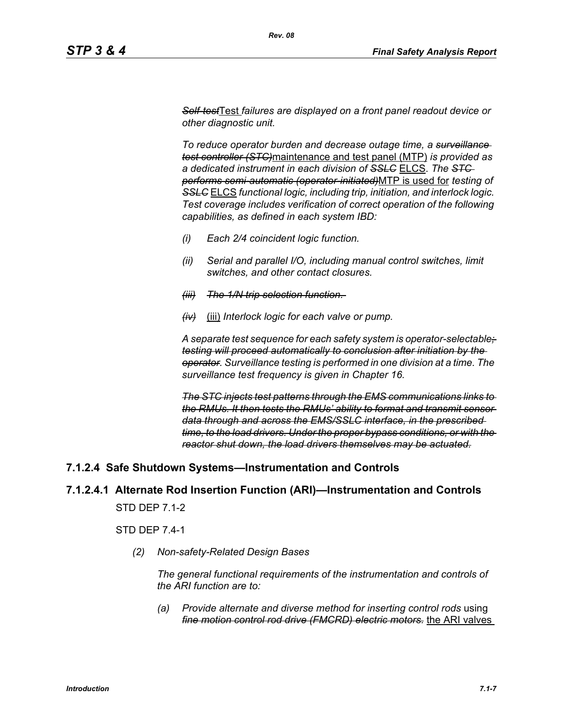*Self-test*Test *failures are displayed on a front panel readout device or other diagnostic unit.*

*To reduce operator burden and decrease outage time, a surveillance test controller (STC)*maintenance and test panel (MTP) *is provided as a dedicated instrument in each division of SSLC* ELCS. *The STC performs semi-automatic (operator-initiated)*MTP is used for *testing of SSLC* ELCS *functional logic, including trip, initiation, and interlock logic. Test coverage includes verification of correct operation of the following capabilities, as defined in each system IBD:*

- *(i) Each 2/4 coincident logic function.*
- *(ii) Serial and parallel I/O, including manual control switches, limit switches, and other contact closures.*
- *(iii) The 1/N trip selection function.*
- *(iv)* (iii) *Interlock logic for each valve or pump.*

*A separate test sequence for each safety system is operator-selectable; testing will proceed automatically to conclusion after initiation by the operator. Surveillance testing is performed in one division at a time. The surveillance test frequency is given in Chapter 16.*

*The STC injects test patterns through the EMS communications links to the RMUs. It then tests the RMUs' ability to format and transmit sensor data through and across the EMS/SSLC interface, in the prescribed time, to the load drivers. Under the proper bypass conditions, or with the reactor shut down, the load drivers themselves may be actuated.*

# **7.1.2.4 Safe Shutdown Systems—Instrumentation and Controls**

# **7.1.2.4.1 Alternate Rod Insertion Function (ARI)—Instrumentation and Controls**

STD DEP 7.1-2

STD DEP 7.4-1

*(2) Non-safety-Related Design Bases*

*The general functional requirements of the instrumentation and controls of the ARI function are to:*

*(a) Provide alternate and diverse method for inserting control rods* using *fine motion control rod drive (FMCRD) electric motors.* the ARI valves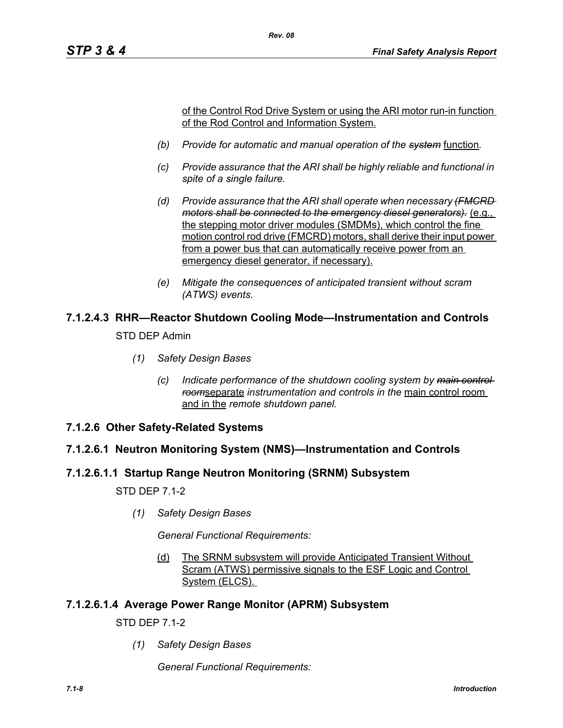of the Control Rod Drive System or using the ARI motor run-in function of the Rod Control and Information System.

*(b) Provide for automatic and manual operation of the system* function*.*

*Rev. 08*

- *(c) Provide assurance that the ARI shall be highly reliable and functional in spite of a single failure.*
- *(d) Provide assurance that the ARI shall operate when necessary (FMCRD motors shall be connected to the emergency diesel generators).* (e.g., the stepping motor driver modules (SMDMs), which control the fine motion control rod drive (FMCRD) motors, shall derive their input power from a power bus that can automatically receive power from an emergency diesel generator, if necessary).
- *(e) Mitigate the consequences of anticipated transient without scram (ATWS) events.*

# **7.1.2.4.3 RHR—Reactor Shutdown Cooling Mode—Instrumentation and Controls**

STD DEP Admin

- *(1) Safety Design Bases*
	- *(c) Indicate performance of the shutdown cooling system by main control room*separate *instrumentation and controls in the* main control room and in the *remote shutdown panel.*
- **7.1.2.6 Other Safety-Related Systems**

# **7.1.2.6.1 Neutron Monitoring System (NMS)—Instrumentation and Controls**

# **7.1.2.6.1.1 Startup Range Neutron Monitoring (SRNM) Subsystem**

STD DEP 7.1-2

*(1) Safety Design Bases*

*General Functional Requirements:*

(d) The SRNM subsystem will provide Anticipated Transient Without Scram (ATWS) permissive signals to the ESF Logic and Control System (ELCS).

# **7.1.2.6.1.4 Average Power Range Monitor (APRM) Subsystem**

STD DEP 7.1-2

*(1) Safety Design Bases*

*General Functional Requirements:*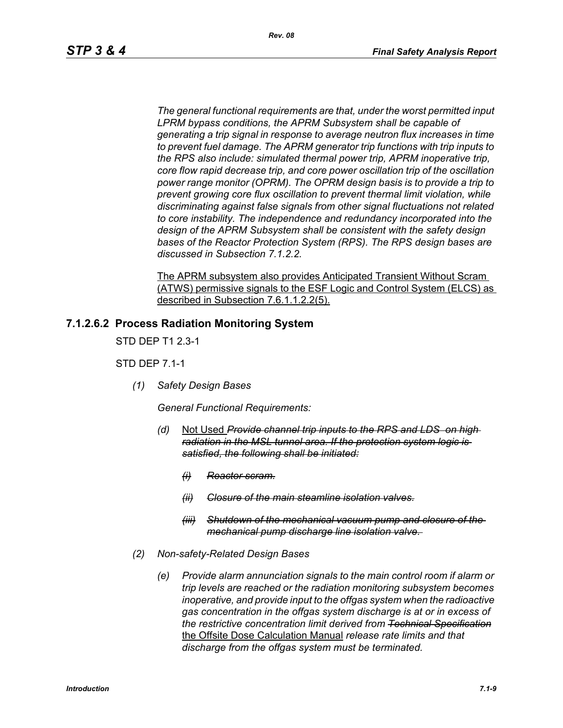*The general functional requirements are that, under the worst permitted input LPRM bypass conditions, the APRM Subsystem shall be capable of generating a trip signal in response to average neutron flux increases in time to prevent fuel damage. The APRM generator trip functions with trip inputs to the RPS also include: simulated thermal power trip, APRM inoperative trip, core flow rapid decrease trip, and core power oscillation trip of the oscillation power range monitor (OPRM). The OPRM design basis is to provide a trip to prevent growing core flux oscillation to prevent thermal limit violation, while discriminating against false signals from other signal fluctuations not related to core instability. The independence and redundancy incorporated into the design of the APRM Subsystem shall be consistent with the safety design bases of the Reactor Protection System (RPS). The RPS design bases are discussed in Subsection 7.1.2.2.*

The APRM subsystem also provides Anticipated Transient Without Scram (ATWS) permissive signals to the ESF Logic and Control System (ELCS) as described in Subsection 7.6.1.1.2.2(5).

#### **7.1.2.6.2 Process Radiation Monitoring System**

STD DEP T1 2.3-1

STD DEP 7.1-1

*(1) Safety Design Bases*

*General Functional Requirements:*

- *(d)* Not Used *Provide channel trip inputs to the RPS and LDS on high radiation in the MSL tunnel area. If the protection system logic is satisfied, the following shall be initiated:*
	- *(i) Reactor scram.*
	- *(ii) Closure of the main steamline isolation valves.*
	- *(iii) Shutdown of the mechanical vacuum pump and closure of the mechanical pump discharge line isolation valve.*
- *(2) Non-safety-Related Design Bases*
	- *(e) Provide alarm annunciation signals to the main control room if alarm or trip levels are reached or the radiation monitoring subsystem becomes inoperative, and provide input to the offgas system when the radioactive gas concentration in the offgas system discharge is at or in excess of the restrictive concentration limit derived from Technical Specification* the Offsite Dose Calculation Manual *release rate limits and that discharge from the offgas system must be terminated.*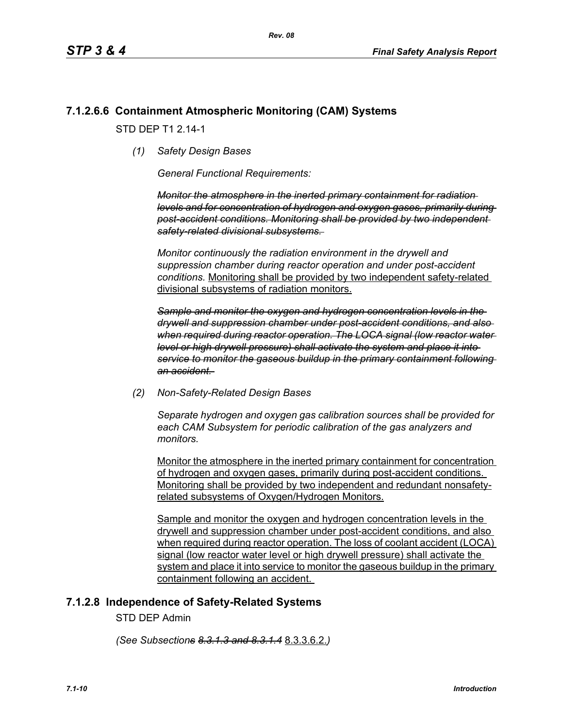# **7.1.2.6.6 Containment Atmospheric Monitoring (CAM) Systems**

STD DFP T1 2 14-1

*(1) Safety Design Bases*

*General Functional Requirements:*

*Monitor the atmosphere in the inerted primary containment for radiation levels and for concentration of hydrogen and oxygen gases, primarily during post-accident conditions. Monitoring shall be provided by two independent safety-related divisional subsystems.* 

*Monitor continuously the radiation environment in the drywell and suppression chamber during reactor operation and under post-accident conditions.* Monitoring shall be provided by two independent safety-related divisional subsystems of radiation monitors.

*Sample and monitor the oxygen and hydrogen concentration levels in the drywell and suppression chamber under post-accident conditions, and also when required during reactor operation. The LOCA signal (low reactor water level or high drywell pressure) shall activate the system and place it into service to monitor the gaseous buildup in the primary containment following an accident.* 

*(2) Non-Safety-Related Design Bases*

*Separate hydrogen and oxygen gas calibration sources shall be provided for each CAM Subsystem for periodic calibration of the gas analyzers and monitors.* 

Monitor the atmosphere in the inerted primary containment for concentration of hydrogen and oxygen gases, primarily during post-accident conditions. Monitoring shall be provided by two independent and redundant nonsafetyrelated subsystems of Oxygen/Hydrogen Monitors.

Sample and monitor the oxygen and hydrogen concentration levels in the drywell and suppression chamber under post-accident conditions, and also when required during reactor operation. The loss of coolant accident (LOCA) signal (low reactor water level or high drywell pressure) shall activate the system and place it into service to monitor the gaseous buildup in the primary containment following an accident.

# **7.1.2.8 Independence of Safety-Related Systems**

STD DEP Admin

*(See Subsections 8.3.1.3 and 8.3.1.4* 8.3.3.6.2.*)*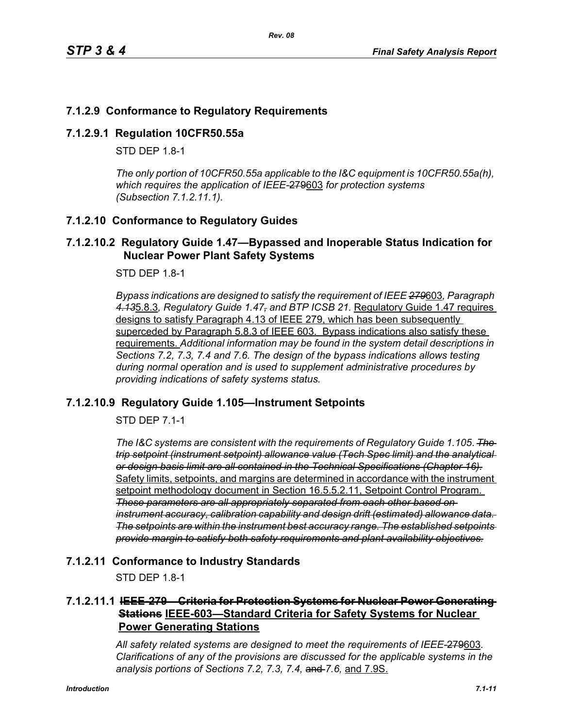# **7.1.2.9 Conformance to Regulatory Requirements**

#### **7.1.2.9.1 Regulation 10CFR50.55a**

STD DFP 18-1

*The only portion of 10CFR50.55a applicable to the I&C equipment is 10CFR50.55a(h), which requires the application of IEEE-*279603 *for protection systems (Subsection 7.1.2.11.1).*

#### **7.1.2.10 Conformance to Regulatory Guides**

#### **7.1.2.10.2 Regulatory Guide 1.47—Bypassed and Inoperable Status Indication for Nuclear Power Plant Safety Systems**

STD DEP 1.8-1

*Bypass indications are designed to satisfy the requirement of IEEE 279*603*, Paragraph 4.13*5.8.3*, Regulatory Guide 1.47, and BTP ICSB 21.* Regulatory Guide 1.47 requires designs to satisfy Paragraph 4.13 of IEEE 279, which has been subsequently superceded by Paragraph 5.8.3 of IEEE 603. Bypass indications also satisfy these requirements. *Additional information may be found in the system detail descriptions in Sections 7.2, 7.3, 7.4 and 7.6. The design of the bypass indications allows testing during normal operation and is used to supplement administrative procedures by providing indications of safety systems status.*

# **7.1.2.10.9 Regulatory Guide 1.105—Instrument Setpoints**

STD DEP 7.1-1

*The I&C systems are consistent with the requirements of Regulatory Guide 1.105*. *The trip setpoint (instrument setpoint) allowance value (Tech Spec limit) and the analytical or design basis limit are all contained in the Technical Specifications (Chapter 16).* Safety limits, setpoints, and margins are determined in accordance with the instrument setpoint methodology document in Section 16.5.5.2.11, Setpoint Control Program. *These parameters are all appropriately separated from each other based on instrument accuracy, calibration capability and design drift (estimated) allowance data. The setpoints are within the instrument best accuracy range. The established setpoints provide margin to satisfy both safety requirements and plant availability objectives.*

#### **7.1.2.11 Conformance to Industry Standards**

STD DEP 1.8-1

# **7.1.2.11.1 IEEE-279—Criteria for Protection Systems for Nuclear Power Generating Stations IEEE-603—Standard Criteria for Safety Systems for Nuclear Power Generating Stations**

*All safety related systems are designed to meet the requirements of IEEE-*279603*. Clarifications of any of the provisions are discussed for the applicable systems in the analysis portions of Sections 7.2, 7.3, 7.4,* and *7.6,* and 7.9S.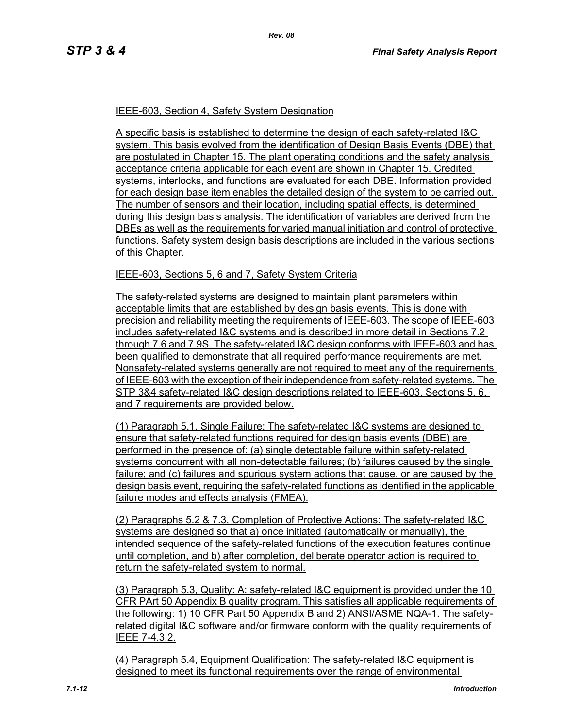#### IEEE-603, Section 4, Safety System Designation

A specific basis is established to determine the design of each safety-related I&C system. This basis evolved from the identification of Design Basis Events (DBE) that are postulated in Chapter 15. The plant operating conditions and the safety analysis acceptance criteria applicable for each event are shown in Chapter 15. Credited systems, interlocks, and functions are evaluated for each DBE. Information provided for each design base item enables the detailed design of the system to be carried out. The number of sensors and their location, including spatial effects, is determined during this design basis analysis. The identification of variables are derived from the DBEs as well as the requirements for varied manual initiation and control of protective functions. Safety system design basis descriptions are included in the various sections of this Chapter.

#### IEEE-603, Sections 5, 6 and 7, Safety System Criteria

The safety-related systems are designed to maintain plant parameters within acceptable limits that are established by design basis events. This is done with precision and reliability meeting the requirements of IEEE-603. The scope of IEEE-603 includes safety-related I&C systems and is described in more detail in Sections 7.2 through 7.6 and 7.9S. The safety-related I&C design conforms with IEEE-603 and has been qualified to demonstrate that all required performance requirements are met. Nonsafety-related systems generally are not required to meet any of the requirements of IEEE-603 with the exception of their independence from safety-related systems. The STP 3&4 safety-related I&C design descriptions related to IEEE-603, Sections 5, 6, and 7 requirements are provided below.

(1) Paragraph 5.1, Single Failure: The safety-related I&C systems are designed to ensure that safety-related functions required for design basis events (DBE) are performed in the presence of: (a) single detectable failure within safety-related systems concurrent with all non-detectable failures; (b) failures caused by the single failure; and (c) failures and spurious system actions that cause, or are caused by the design basis event, requiring the safety-related functions as identified in the applicable failure modes and effects analysis (FMEA).

(2) Paragraphs 5.2 & 7.3, Completion of Protective Actions: The safety-related I&C systems are designed so that a) once initiated (automatically or manually), the intended sequence of the safety-related functions of the execution features continue until completion, and b) after completion, deliberate operator action is required to return the safety-related system to normal.

(3) Paragraph 5.3, Quality: A: safety-related I&C equipment is provided under the 10 CFR PArt 50 Appendix B quality program. This satisfies all applicable requirements of the following: 1) 10 CFR Part 50 Appendix B and 2) ANSI/ASME NQA-1. The safetyrelated digital I&C software and/or firmware conform with the quality requirements of IEEE 7-4.3.2.

(4) Paragraph 5.4, Equipment Qualification: The safety-related I&C equipment is designed to meet its functional requirements over the range of environmental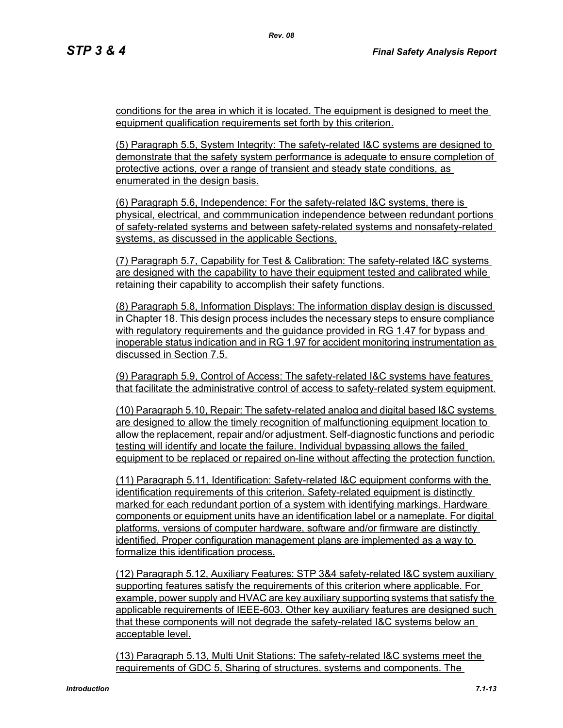conditions for the area in which it is located. The equipment is designed to meet the equipment qualification requirements set forth by this criterion.

(5) Paragraph 5.5, System Integrity: The safety-related I&C systems are designed to demonstrate that the safety system performance is adequate to ensure completion of protective actions, over a range of transient and steady state conditions, as enumerated in the design basis.

(6) Paragraph 5.6, Independence: For the safety-related I&C systems, there is physical, electrical, and commmunication independence between redundant portions of safety-related systems and between safety-related systems and nonsafety-related systems, as discussed in the applicable Sections.

(7) Paragraph 5.7, Capability for Test & Calibration: The safety-related I&C systems are designed with the capability to have their equipment tested and calibrated while retaining their capability to accomplish their safety functions.

(8) Paragraph 5.8, Information Displays: The information display design is discussed in Chapter 18. This design process includes the necessary steps to ensure compliance with regulatory requirements and the guidance provided in RG 1.47 for bypass and inoperable status indication and in RG 1.97 for accident monitoring instrumentation as discussed in Section 7.5.

(9) Paragraph 5.9, Control of Access: The safety-related I&C systems have features that facilitate the administrative control of access to safety-related system equipment.

(10) Paragraph 5.10, Repair: The safety-related analog and digital based I&C systems are designed to allow the timely recognition of malfunctioning equipment location to allow the replacement, repair and/or adjustment. Self-diagnostic functions and periodic testing will identify and locate the failure. Individual bypassing allows the failed equipment to be replaced or repaired on-line without affecting the protection function.

(11) Paragraph 5.11, Identification: Safety-related I&C equipment conforms with the identification requirements of this criterion. Safety-related equipment is distinctly marked for each redundant portion of a system with identifying markings. Hardware components or equipment units have an identification label or a nameplate. For digital platforms, versions of computer hardware, software and/or firmware are distinctly identified. Proper configuration management plans are implemented as a way to formalize this identification process.

(12) Paragraph 5.12, Auxiliary Features: STP 3&4 safety-related I&C system auxiliary supporting features satisfy the requirements of this criterion where applicable. For example, power supply and HVAC are key auxiliary supporting systems that satisfy the applicable requirements of IEEE-603. Other key auxiliary features are designed such that these components will not degrade the safety-related I&C systems below an acceptable level.

(13) Paragraph 5.13, Multi Unit Stations: The safety-related I&C systems meet the requirements of GDC 5, Sharing of structures, systems and components. The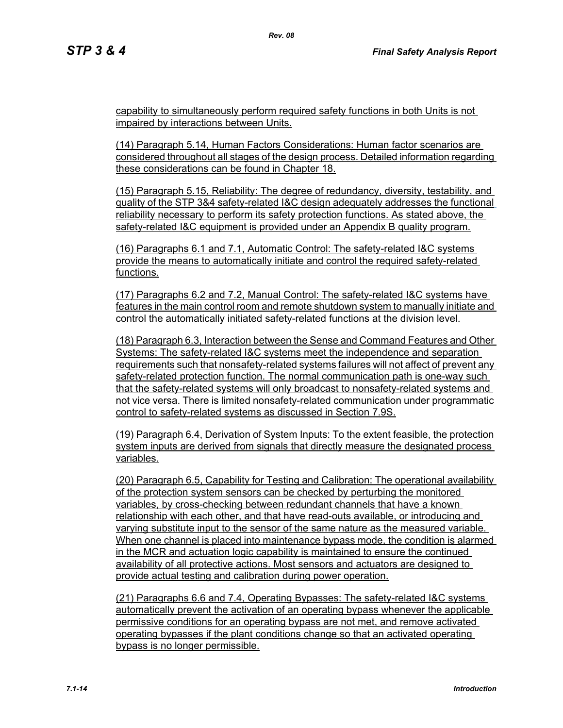capability to simultaneously perform required safety functions in both Units is not impaired by interactions between Units.

*Rev. 08*

(14) Paragraph 5.14, Human Factors Considerations: Human factor scenarios are considered throughout all stages of the design process. Detailed information regarding these considerations can be found in Chapter 18.

(15) Paragraph 5.15, Reliability: The degree of redundancy, diversity, testability, and quality of the STP 3&4 safety-related I&C design adequately addresses the functional reliability necessary to perform its safety protection functions. As stated above, the safety-related I&C equipment is provided under an Appendix B quality program.

(16) Paragraphs 6.1 and 7.1, Automatic Control: The safety-related I&C systems provide the means to automatically initiate and control the required safety-related functions.

(17) Paragraphs 6.2 and 7.2, Manual Control: The safety-related I&C systems have features in the main control room and remote shutdown system to manually initiate and control the automatically initiated safety-related functions at the division level.

(18) Paragraph 6.3, Interaction between the Sense and Command Features and Other Systems: The safety-related I&C systems meet the independence and separation requirements such that nonsafety-related systems failures will not affect of prevent any safety-related protection function. The normal communication path is one-way such that the safety-related systems will only broadcast to nonsafety-related systems and not vice versa. There is limited nonsafety-related communication under programmatic control to safety-related systems as discussed in Section 7.9S.

(19) Paragraph 6.4, Derivation of System Inputs: To the extent feasible, the protection system inputs are derived from signals that directly measure the designated process variables.

(20) Paragraph 6.5, Capability for Testing and Calibration: The operational availability of the protection system sensors can be checked by perturbing the monitored variables, by cross-checking between redundant channels that have a known relationship with each other, and that have read-outs available, or introducing and varying substitute input to the sensor of the same nature as the measured variable. When one channel is placed into maintenance bypass mode, the condition is alarmed in the MCR and actuation logic capability is maintained to ensure the continued availability of all protective actions. Most sensors and actuators are designed to provide actual testing and calibration during power operation.

(21) Paragraphs 6.6 and 7.4, Operating Bypasses: The safety-related I&C systems automatically prevent the activation of an operating bypass whenever the applicable permissive conditions for an operating bypass are not met, and remove activated operating bypasses if the plant conditions change so that an activated operating bypass is no longer permissible.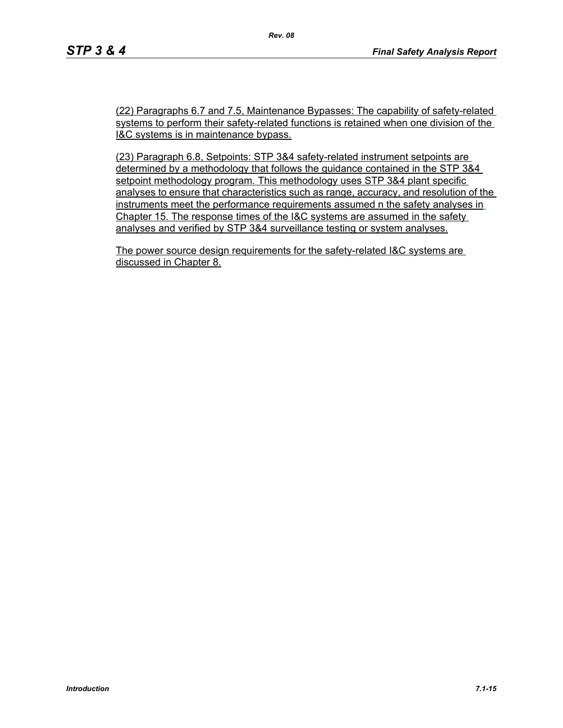(22) Paragraphs 6.7 and 7.5, Maintenance Bypasses: The capability of safety-related systems to perform their safety-related functions is retained when one division of the I&C systems is in maintenance bypass.

(23) Paragraph 6.8, Setpoints: STP 3&4 safety-related instrument setpoints are determined by a methodology that follows the guidance contained in the STP 3&4 setpoint methodology program. This methodology uses STP 3&4 plant specific analyses to ensure that characteristics such as range, accuracy, and resolution of the instruments meet the performance requirements assumed n the safety analyses in Chapter 15. The response times of the I&C systems are assumed in the safety analyses and verified by STP 3&4 surveillance testing or system analyses.

The power source design requirements for the safety-related I&C systems are discussed in Chapter 8.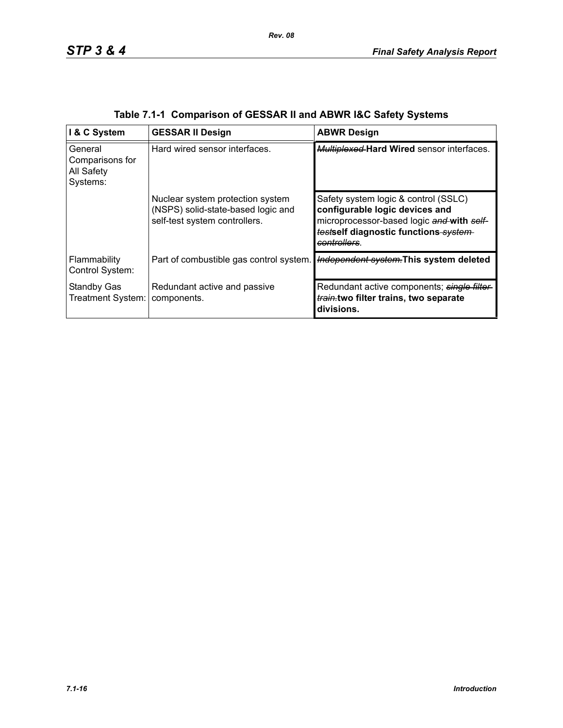| I & C System                                         | <b>GESSAR II Design</b>                                                                                 | <b>ABWR Design</b>                                                                                                                                                          |
|------------------------------------------------------|---------------------------------------------------------------------------------------------------------|-----------------------------------------------------------------------------------------------------------------------------------------------------------------------------|
| General<br>Comparisons for<br>All Safety<br>Systems: | Hard wired sensor interfaces.                                                                           | Multiplexed Hard Wired sensor interfaces.                                                                                                                                   |
|                                                      | Nuclear system protection system<br>(NSPS) solid-state-based logic and<br>self-test system controllers. | Safety system logic & control (SSLC)<br>configurable logic devices and<br>microprocessor-based logic and with self-<br>testself diagnostic functions system-<br>controllers |
| Flammability<br>Control System:                      | Part of combustible gas control system.                                                                 | Independent system. This system deleted                                                                                                                                     |
| <b>Standby Gas</b><br>Treatment System:              | Redundant active and passive<br>components.                                                             | Redundant active components; single filter-<br>train.two filter trains, two separate<br>divisions.                                                                          |

|  | Table 7.1-1 Comparison of GESSAR II and ABWR I&C Safety Systems |  |  |
|--|-----------------------------------------------------------------|--|--|
|  |                                                                 |  |  |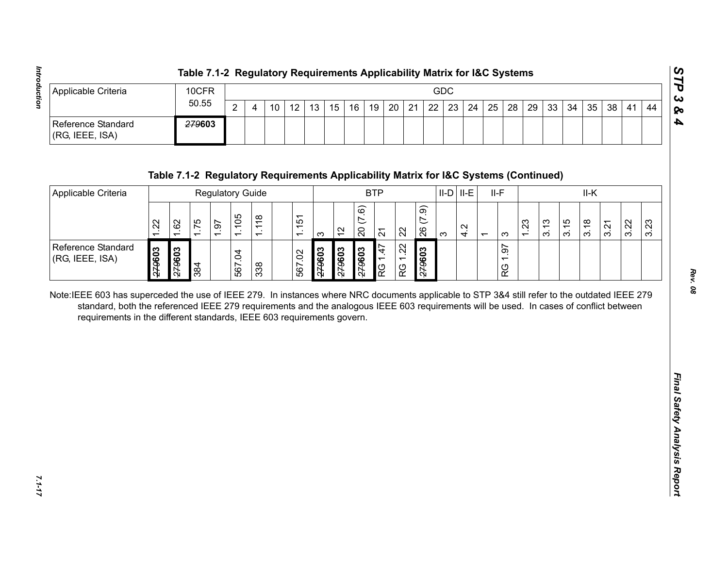|                                           | Table 7.1-2 Regulatory Requirements Applicability Matrix for I&C Systems |   |    |    |                 |  |  |  |     |  |  |  |                                                                               |  |    |             |
|-------------------------------------------|--------------------------------------------------------------------------|---|----|----|-----------------|--|--|--|-----|--|--|--|-------------------------------------------------------------------------------|--|----|-------------|
| Applicable Criteria                       | 10CFR                                                                    |   |    |    |                 |  |  |  | GDC |  |  |  |                                                                               |  |    | ∣ ట         |
|                                           | 50.55                                                                    | ົ | 10 | 12 | 13 <sub>1</sub> |  |  |  |     |  |  |  | 15   16   19   20   21   22   23   24   25   28   29   33   34   35   38   41 |  | 44 | 1 <b>Po</b> |
| Reference Standard<br>$ $ (RG, IEEE, ISA) | <del>279</del> 603                                                       |   |    |    |                 |  |  |  |     |  |  |  |                                                                               |  |    |             |

| $\overline{2}$<br>22<br>12<br>21<br>23<br>24<br>25<br>28<br>29<br>33<br>34<br>38<br>10<br>13<br>15<br>16<br>19<br>20<br>35<br>44<br>$\overline{4}$<br>41<br>279603<br>Table 7.1-2 Regulatory Requirements Applicability Matrix for I&C Systems (Continued)<br>$II-D$ $II-E$<br>$II-F$<br><b>BTP</b><br>II-K<br><b>Regulatory Guide</b><br>(7.9)<br>(7.6)<br>1.105<br>1.118<br>1.151<br>62<br>1.75<br>1.23<br>3.15<br>3.22<br>1.22<br>1.97<br>3.13<br>3.23<br>3.18<br>3.21<br>4.2<br>$\overline{20}$<br>26<br>$\frac{1}{2}$<br>22<br>$\overline{2}$<br>$\infty$<br>$\infty$<br>က<br>$\overline{ }$<br>1.22<br>1.97<br>1.47<br>279603<br>279603<br>279603<br>279603<br>279603<br>509627<br>567.02<br>567.04<br>384<br>338<br>RG<br>RG<br>RG<br>Note:IEEE 603 has superceded the use of IEEE 279. In instances where NRC documents applicable to STP 3&4 still refer to the outdated IEEE 279<br>standard, both the referenced IEEE 279 requirements and the analogous IEEE 603 requirements will be used. In cases of conflict between<br>requirements in the different standards, IEEE 603 requirements govern. | Applicable Criteria                          | 10CFR |  |       |  |  |  |  |  |  |  |  | GDC |  |  |  |  |  |  |  |  |  |  |
|----------------------------------------------------------------------------------------------------------------------------------------------------------------------------------------------------------------------------------------------------------------------------------------------------------------------------------------------------------------------------------------------------------------------------------------------------------------------------------------------------------------------------------------------------------------------------------------------------------------------------------------------------------------------------------------------------------------------------------------------------------------------------------------------------------------------------------------------------------------------------------------------------------------------------------------------------------------------------------------------------------------------------------------------------------------------------------------------------------------|----------------------------------------------|-------|--|-------|--|--|--|--|--|--|--|--|-----|--|--|--|--|--|--|--|--|--|--|
|                                                                                                                                                                                                                                                                                                                                                                                                                                                                                                                                                                                                                                                                                                                                                                                                                                                                                                                                                                                                                                                                                                                |                                              |       |  | 50.55 |  |  |  |  |  |  |  |  |     |  |  |  |  |  |  |  |  |  |  |
|                                                                                                                                                                                                                                                                                                                                                                                                                                                                                                                                                                                                                                                                                                                                                                                                                                                                                                                                                                                                                                                                                                                | <b>Reference Standard</b><br>(RG, IEEE, ISA) |       |  |       |  |  |  |  |  |  |  |  |     |  |  |  |  |  |  |  |  |  |  |
|                                                                                                                                                                                                                                                                                                                                                                                                                                                                                                                                                                                                                                                                                                                                                                                                                                                                                                                                                                                                                                                                                                                |                                              |       |  |       |  |  |  |  |  |  |  |  |     |  |  |  |  |  |  |  |  |  |  |
|                                                                                                                                                                                                                                                                                                                                                                                                                                                                                                                                                                                                                                                                                                                                                                                                                                                                                                                                                                                                                                                                                                                | Applicable Criteria                          |       |  |       |  |  |  |  |  |  |  |  |     |  |  |  |  |  |  |  |  |  |  |
|                                                                                                                                                                                                                                                                                                                                                                                                                                                                                                                                                                                                                                                                                                                                                                                                                                                                                                                                                                                                                                                                                                                |                                              |       |  |       |  |  |  |  |  |  |  |  |     |  |  |  |  |  |  |  |  |  |  |
|                                                                                                                                                                                                                                                                                                                                                                                                                                                                                                                                                                                                                                                                                                                                                                                                                                                                                                                                                                                                                                                                                                                | Reference Standard<br>(RG, IEEE, ISA)        |       |  |       |  |  |  |  |  |  |  |  |     |  |  |  |  |  |  |  |  |  |  |
|                                                                                                                                                                                                                                                                                                                                                                                                                                                                                                                                                                                                                                                                                                                                                                                                                                                                                                                                                                                                                                                                                                                |                                              |       |  |       |  |  |  |  |  |  |  |  |     |  |  |  |  |  |  |  |  |  |  |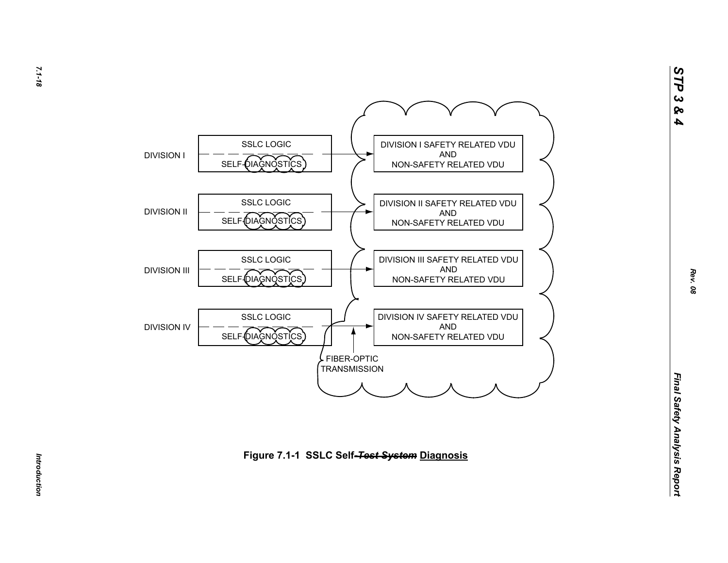